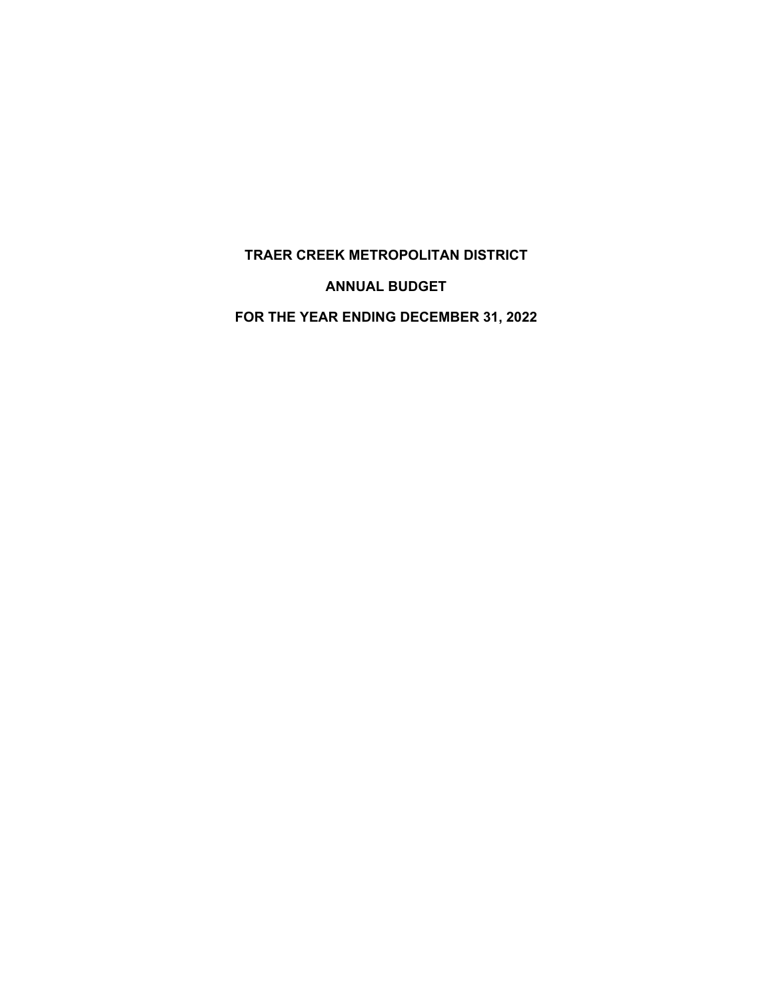# **TRAER CREEK METROPOLITAN DISTRICT**

**ANNUAL BUDGET** 

**FOR THE YEAR ENDING DECEMBER 31, 2022**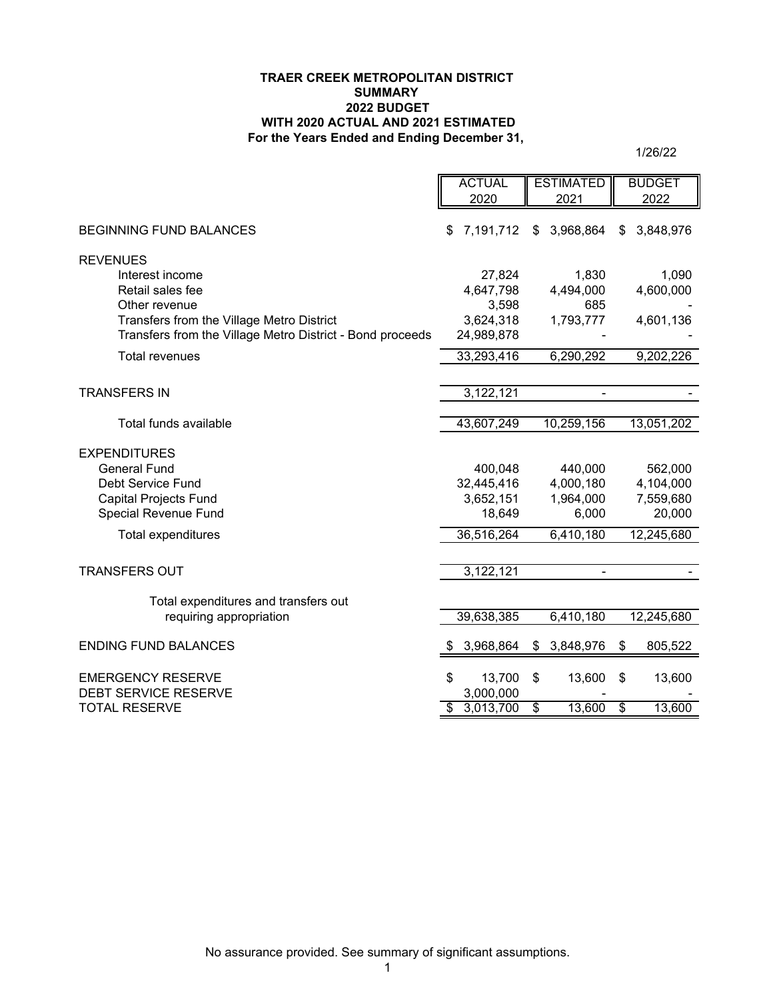#### **TRAER CREEK METROPOLITAN DISTRICT SUMMARY 2022 BUDGET WITH 2020 ACTUAL AND 2021 ESTIMATED For the Years Ended and Ending December 31,**

1/26/22

|                                                           | <b>ACTUAL</b>              | <b>ESTIMATED</b>          | <b>BUDGET</b>                      |
|-----------------------------------------------------------|----------------------------|---------------------------|------------------------------------|
|                                                           | 2020                       | 2021                      | 2022                               |
| <b>BEGINNING FUND BALANCES</b>                            | 7,191,712<br>\$            | \$3,968,864               | 3,848,976<br>S                     |
| <b>REVENUES</b>                                           |                            |                           |                                    |
| Interest income                                           | 27,824                     | 1,830                     | 1,090                              |
| Retail sales fee                                          | 4,647,798                  | 4,494,000                 | 4,600,000                          |
| Other revenue                                             | 3,598                      | 685                       |                                    |
| Transfers from the Village Metro District                 | 3,624,318                  | 1,793,777                 | 4,601,136                          |
| Transfers from the Village Metro District - Bond proceeds | 24,989,878                 |                           |                                    |
| <b>Total revenues</b>                                     | 33,293,416                 | 6,290,292                 | 9,202,226                          |
|                                                           |                            |                           |                                    |
| <b>TRANSFERS IN</b>                                       | 3,122,121                  |                           |                                    |
|                                                           |                            |                           |                                    |
| Total funds available                                     | 43,607,249                 | 10,259,156                | 13,051,202                         |
| <b>EXPENDITURES</b>                                       |                            |                           |                                    |
| <b>General Fund</b>                                       | 400,048                    | 440,000                   | 562,000                            |
| <b>Debt Service Fund</b>                                  | 32,445,416                 | 4,000,180                 | 4,104,000                          |
| <b>Capital Projects Fund</b>                              | 3,652,151                  | 1,964,000                 | 7,559,680                          |
| Special Revenue Fund                                      | 18,649                     | 6,000                     | 20,000                             |
| <b>Total expenditures</b>                                 | 36,516,264                 | 6,410,180                 | 12,245,680                         |
|                                                           |                            |                           |                                    |
| <b>TRANSFERS OUT</b>                                      | 3,122,121                  |                           |                                    |
|                                                           |                            |                           |                                    |
| Total expenditures and transfers out                      |                            |                           |                                    |
| requiring appropriation                                   | 39,638,385                 | 6,410,180                 | 12,245,680                         |
| <b>ENDING FUND BALANCES</b>                               | 3,968,864                  | \$<br>3,848,976           | \$<br>805,522                      |
|                                                           |                            |                           |                                    |
| <b>EMERGENCY RESERVE</b><br><b>DEBT SERVICE RESERVE</b>   | 13,700<br>\$<br>3,000,000  | \$<br>13,600              | \$<br>13,600                       |
| <b>TOTAL RESERVE</b>                                      | 3,013,700<br>$\mathsf{\$}$ | $\overline{\$}$<br>13,600 | $\overline{\mathcal{S}}$<br>13,600 |
|                                                           |                            |                           |                                    |

No assurance provided. See summary of significant assumptions.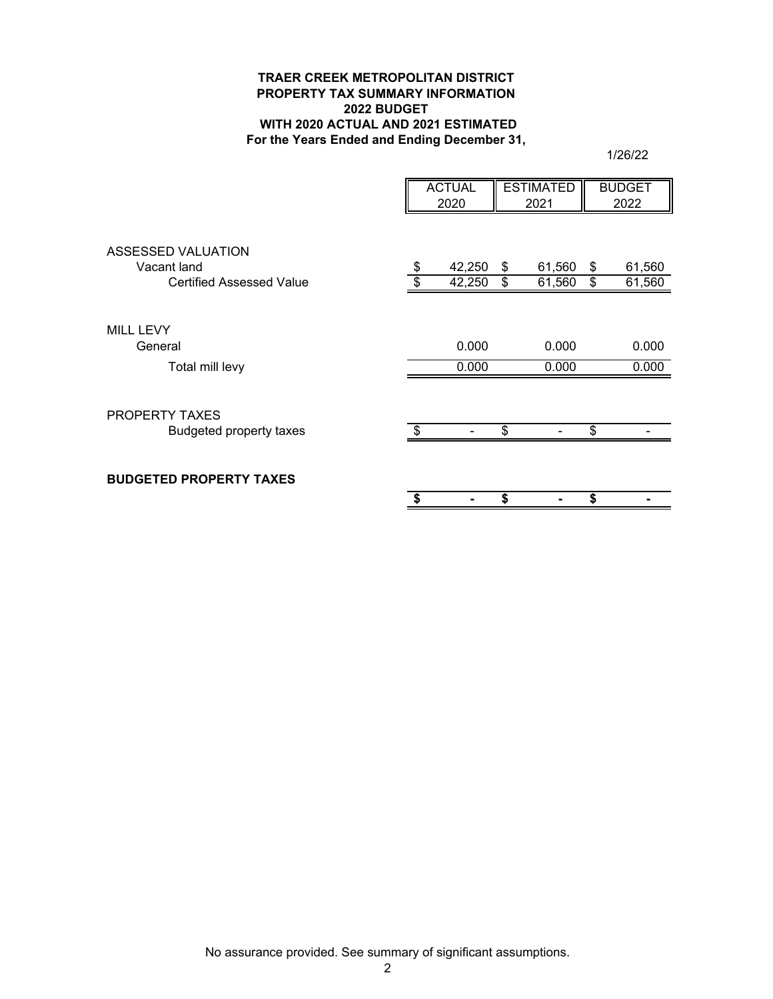## **TRAER CREEK METROPOLITAN DISTRICT PROPERTY TAX SUMMARY INFORMATION 2022 BUDGET WITH 2020 ACTUAL AND 2021 ESTIMATED For the Years Ended and Ending December 31,**

1/26/22

|                                                                             | <b>ACTUAL</b><br>2020 |                | <b>ESTIMATED</b><br>2021 |                  |          | <b>BUDGET</b><br>2022 |
|-----------------------------------------------------------------------------|-----------------------|----------------|--------------------------|------------------|----------|-----------------------|
| <b>ASSESSED VALUATION</b><br>Vacant land<br><b>Certified Assessed Value</b> | \$                    |                | \$<br>\$                 | 61,560<br>61,560 | \$<br>\$ | 61,560<br>61,560      |
| <b>MILL LEVY</b><br>General<br>Total mill levy                              |                       | 0.000<br>0.000 |                          | 0.000<br>0.000   |          | 0.000<br>0.000        |
| PROPERTY TAXES<br><b>Budgeted property taxes</b>                            | \$.                   |                | \$                       |                  | \$       |                       |
| <b>BUDGETED PROPERTY TAXES</b>                                              |                       |                | \$                       |                  | \$       |                       |

No assurance provided. See summary of significant assumptions.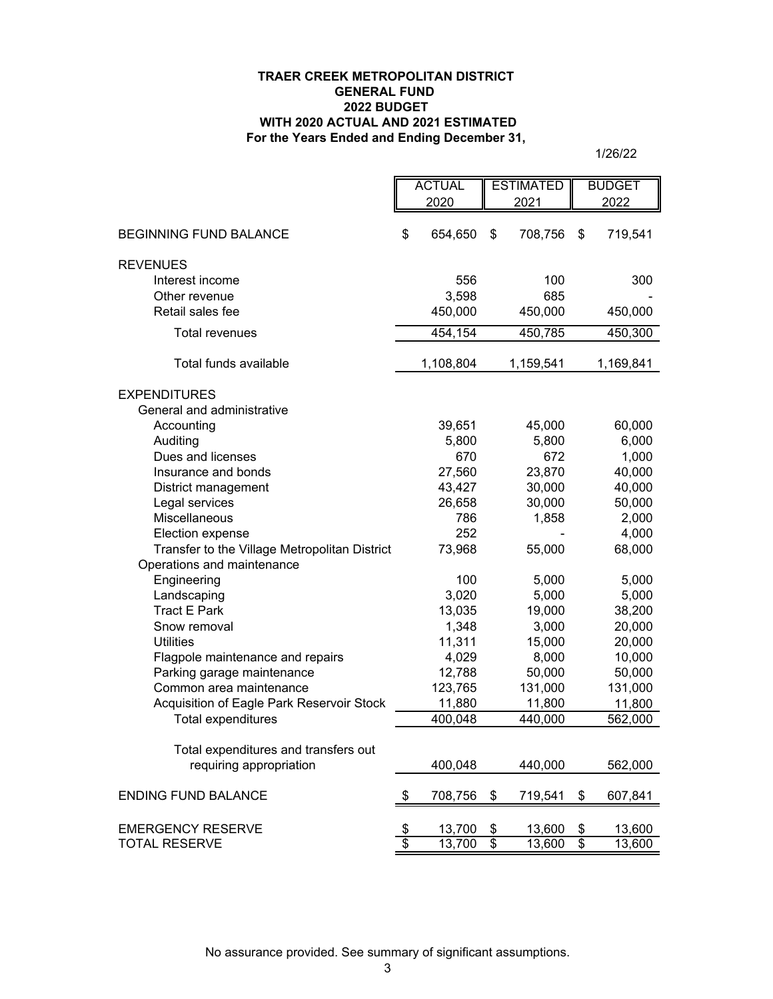## **For the Years Ended and Ending December 31, TRAER CREEK METROPOLITAN DISTRICT GENERAL FUND 2022 BUDGET WITH 2020 ACTUAL AND 2021 ESTIMATED**

1/26/22

|                                                   |                 | <b>ACTUAL</b> |                         | <b>ESTIMATED</b> |                         | <b>BUDGET</b> |  |
|---------------------------------------------------|-----------------|---------------|-------------------------|------------------|-------------------------|---------------|--|
|                                                   |                 | 2020          |                         | 2021             |                         | 2022          |  |
|                                                   |                 |               |                         |                  |                         |               |  |
| <b>BEGINNING FUND BALANCE</b>                     | \$              | 654,650       | \$                      | 708,756          | \$                      | 719,541       |  |
|                                                   |                 |               |                         |                  |                         |               |  |
| <b>REVENUES</b>                                   |                 |               |                         |                  |                         |               |  |
| Interest income                                   |                 | 556           |                         | 100              |                         | 300           |  |
| Other revenue                                     |                 | 3,598         |                         | 685              |                         |               |  |
| Retail sales fee                                  |                 | 450,000       |                         | 450,000          |                         | 450,000       |  |
| <b>Total revenues</b>                             |                 | 454,154       |                         | 450,785          |                         | 450,300       |  |
| Total funds available                             |                 | 1,108,804     |                         | 1,159,541        |                         | 1,169,841     |  |
|                                                   |                 |               |                         |                  |                         |               |  |
| <b>EXPENDITURES</b><br>General and administrative |                 |               |                         |                  |                         |               |  |
| Accounting                                        |                 | 39,651        |                         | 45,000           |                         | 60,000        |  |
| Auditing                                          |                 | 5,800         |                         | 5,800            |                         | 6,000         |  |
| Dues and licenses                                 |                 | 670           |                         | 672              |                         | 1,000         |  |
| Insurance and bonds                               |                 | 27,560        |                         | 23,870           |                         | 40,000        |  |
| District management                               |                 | 43,427        |                         | 30,000           |                         | 40,000        |  |
| Legal services                                    |                 | 26,658        |                         | 30,000           |                         | 50,000        |  |
| Miscellaneous                                     |                 | 786           |                         | 1,858            |                         | 2,000         |  |
| Election expense                                  |                 | 252           |                         |                  |                         | 4,000         |  |
| Transfer to the Village Metropolitan District     |                 | 73,968        |                         | 55,000           |                         | 68,000        |  |
| Operations and maintenance                        |                 |               |                         |                  |                         |               |  |
| Engineering                                       |                 | 100           |                         | 5,000            |                         | 5,000         |  |
| Landscaping                                       |                 | 3,020         |                         | 5,000            |                         | 5,000         |  |
| <b>Tract E Park</b>                               |                 | 13,035        |                         | 19,000           |                         | 38,200        |  |
| Snow removal                                      |                 | 1,348         |                         | 3,000            |                         | 20,000        |  |
| <b>Utilities</b>                                  |                 | 11,311        |                         | 15,000           |                         | 20,000        |  |
| Flagpole maintenance and repairs                  |                 | 4,029         |                         | 8,000            |                         | 10,000        |  |
| Parking garage maintenance                        |                 | 12,788        |                         | 50,000           |                         | 50,000        |  |
| Common area maintenance                           |                 | 123,765       |                         | 131,000          |                         | 131,000       |  |
| Acquisition of Eagle Park Reservoir Stock         |                 | 11,880        |                         | 11,800           |                         | 11,800        |  |
| Total expenditures                                |                 | 400,048       |                         | 440,000          |                         | 562,000       |  |
|                                                   |                 |               |                         |                  |                         |               |  |
| Total expenditures and transfers out              |                 |               |                         |                  |                         |               |  |
| requiring appropriation                           |                 | 400,048       |                         | 440,000          |                         | 562,000       |  |
| <b>ENDING FUND BALANCE</b>                        | \$              | 708,756       | \$                      | 719,541          | \$                      | 607,841       |  |
| <b>EMERGENCY RESERVE</b>                          | \$              | 13,700        | \$                      | 13,600           | \$                      | 13,600        |  |
| <b>TOTAL RESERVE</b>                              | $\overline{\$}$ | 13,700        | $\overline{\mathbf{e}}$ | 13,600           | $\overline{\mathbf{e}}$ | 13,600        |  |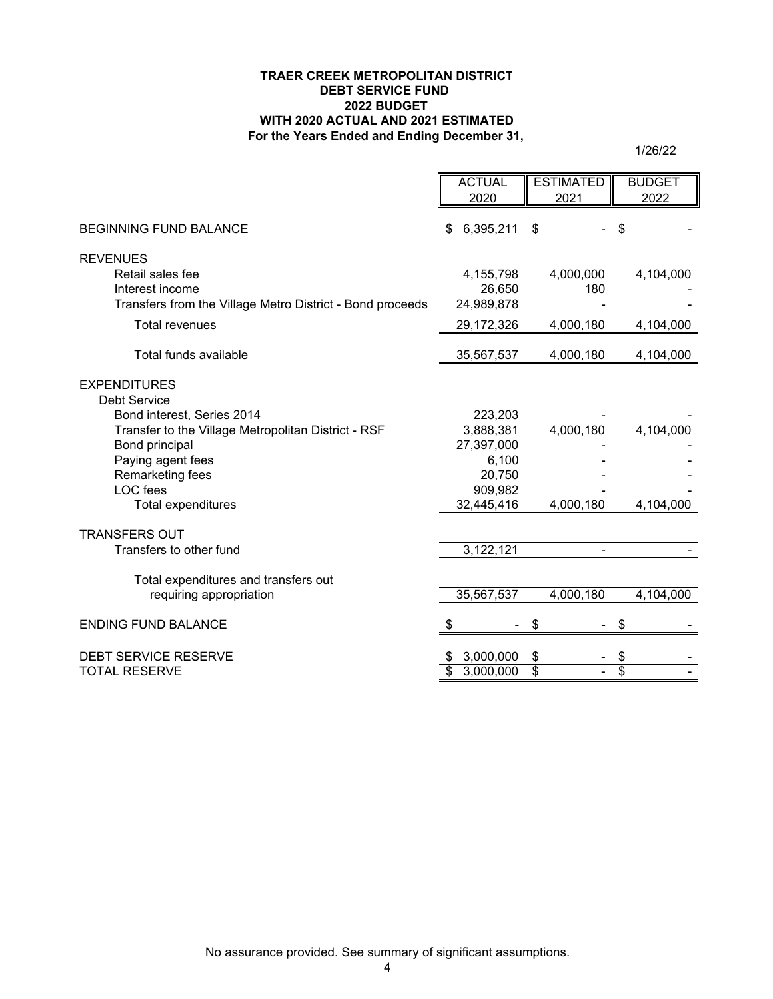#### **TRAER CREEK METROPOLITAN DISTRICT DEBT SERVICE FUND 2022 BUDGET WITH 2020 ACTUAL AND 2021 ESTIMATED For the Years Ended and Ending December 31,**

1/26/22

|                                                           | <b>ACTUAL</b>                | <b>ESTIMATED</b> | <b>BUDGET</b> |
|-----------------------------------------------------------|------------------------------|------------------|---------------|
|                                                           | 2020                         | 2021             | 2022          |
| <b>BEGINNING FUND BALANCE</b>                             | 6,395,211<br>\$              | \$               | \$            |
|                                                           |                              |                  |               |
| <b>REVENUES</b>                                           |                              |                  |               |
| Retail sales fee                                          | 4,155,798                    | 4,000,000        | 4,104,000     |
| Interest income                                           | 26,650                       | 180              |               |
| Transfers from the Village Metro District - Bond proceeds | 24,989,878                   |                  |               |
| <b>Total revenues</b>                                     | 29,172,326                   | 4,000,180        | 4,104,000     |
| Total funds available                                     | 35,567,537                   | 4,000,180        | 4,104,000     |
|                                                           |                              |                  |               |
| <b>EXPENDITURES</b>                                       |                              |                  |               |
| <b>Debt Service</b>                                       |                              |                  |               |
| Bond interest, Series 2014                                | 223,203                      |                  |               |
| Transfer to the Village Metropolitan District - RSF       | 3,888,381                    | 4,000,180        | 4,104,000     |
| Bond principal                                            | 27,397,000<br>6,100          |                  |               |
| Paying agent fees<br>Remarketing fees                     | 20,750                       |                  |               |
| LOC fees                                                  | 909,982                      |                  |               |
| Total expenditures                                        | 32,445,416                   | 4,000,180        | 4,104,000     |
|                                                           |                              |                  |               |
| <b>TRANSFERS OUT</b>                                      |                              |                  |               |
| Transfers to other fund                                   | 3,122,121                    |                  |               |
| Total expenditures and transfers out                      |                              |                  |               |
| requiring appropriation                                   | 35,567,537                   | 4,000,180        | 4,104,000     |
| <b>ENDING FUND BALANCE</b>                                |                              |                  |               |
| <b>DEBT SERVICE RESERVE</b>                               |                              |                  |               |
| <b>TOTAL RESERVE</b>                                      | 3,000,000<br>\$<br>3,000,000 | \$<br>\$         | \$<br>\$      |
|                                                           |                              |                  |               |

No assurance provided. See summary of significant assumptions.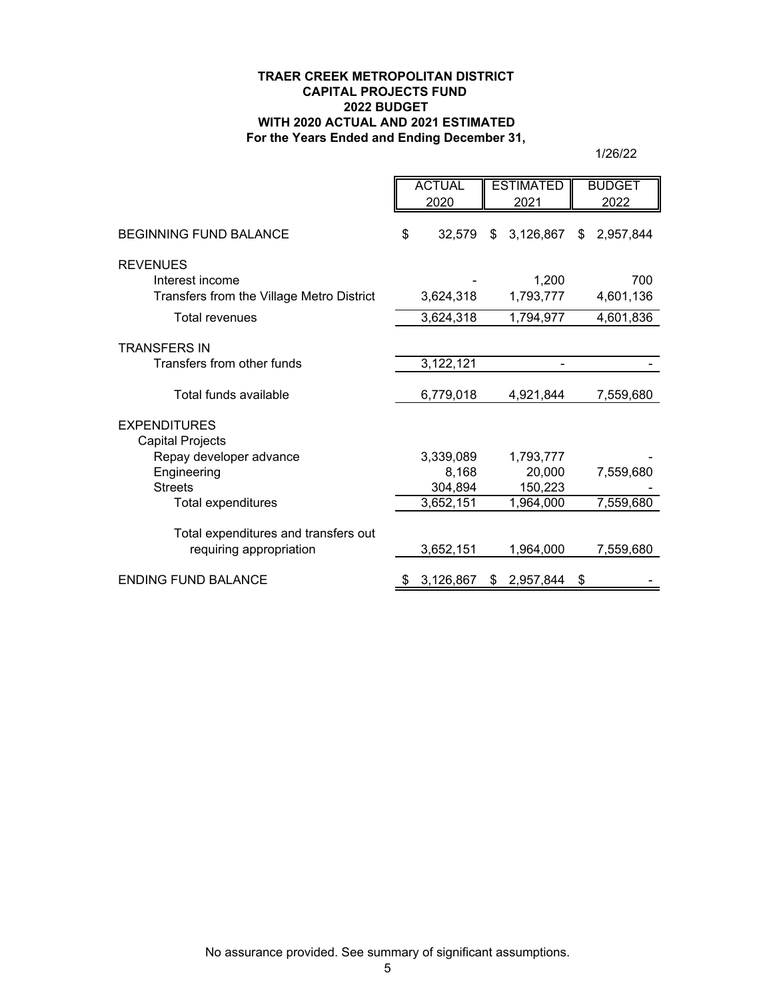## **TRAER CREEK METROPOLITAN DISTRICT CAPITAL PROJECTS FUND 2022 BUDGET WITH 2020 ACTUAL AND 2021 ESTIMATED For the Years Ended and Ending December 31,**

1/26/22

|                                                                 | <b>ACTUAL</b><br>2020 |                    | <b>ESTIMATED</b><br>2021 |                     |     | <b>BUDGET</b><br>2022 |
|-----------------------------------------------------------------|-----------------------|--------------------|--------------------------|---------------------|-----|-----------------------|
| <b>BEGINNING FUND BALANCE</b>                                   | \$                    | 32,579             | \$                       | 3,126,867           | \$. | 2,957,844             |
| <b>REVENUES</b>                                                 |                       |                    |                          |                     |     |                       |
| Interest income<br>Transfers from the Village Metro District    |                       | 3,624,318          |                          | 1,200<br>1,793,777  |     | 700<br>4,601,136      |
| <b>Total revenues</b>                                           |                       | 3,624,318          |                          | 1,794,977           |     | 4,601,836             |
| <b>TRANSFERS IN</b>                                             |                       |                    |                          |                     |     |                       |
| Transfers from other funds                                      |                       | 3,122,121          |                          |                     |     |                       |
| Total funds available                                           |                       | 6,779,018          |                          | 4,921,844           |     | 7,559,680             |
| <b>EXPENDITURES</b>                                             |                       |                    |                          |                     |     |                       |
| Capital Projects                                                |                       |                    |                          |                     |     |                       |
| Repay developer advance<br>Engineering                          |                       | 3,339,089<br>8,168 |                          | 1,793,777<br>20,000 |     | 7,559,680             |
| <b>Streets</b>                                                  |                       | 304,894            |                          | 150,223             |     |                       |
| Total expenditures                                              |                       | 3,652,151          |                          | 1,964,000           |     | 7,559,680             |
|                                                                 |                       |                    |                          |                     |     |                       |
| Total expenditures and transfers out<br>requiring appropriation |                       | 3,652,151          |                          | 1,964,000           |     | 7,559,680             |
| <b>ENDING FUND BALANCE</b>                                      |                       | 3,126,867          | \$                       | 2,957,844           | \$  |                       |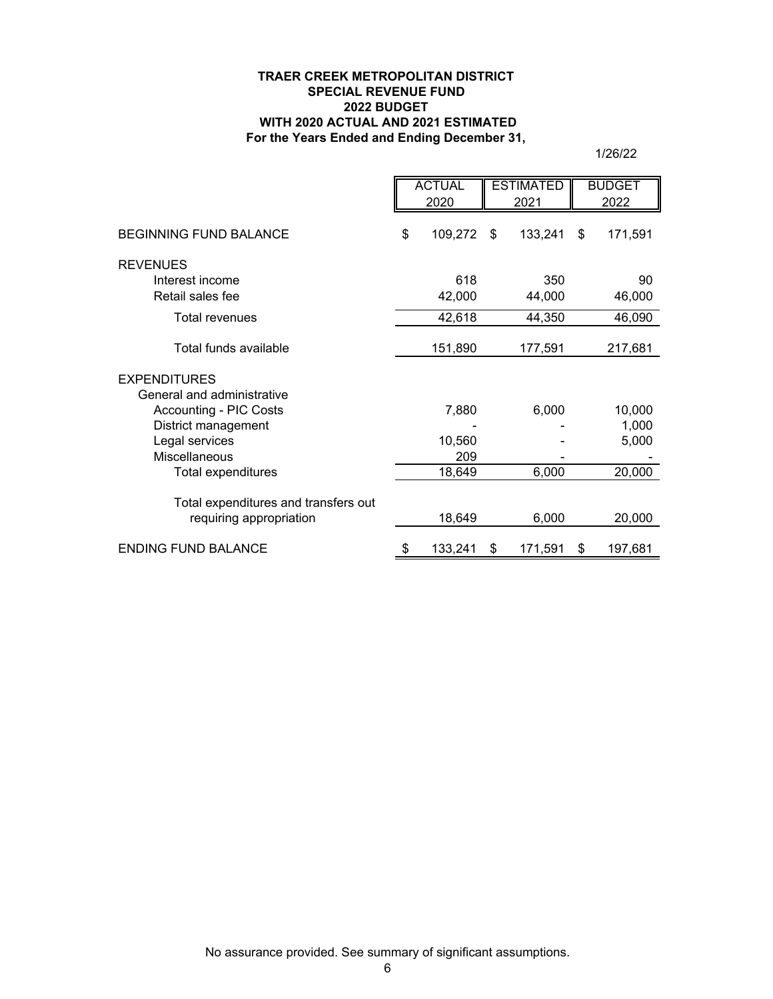## **TRAER CREEK METROPOLITAN DISTRICT SPECIAL REVENUE FUND 2022 BUDGET WITH 2020 ACTUAL AND 2021 ESTIMATED For the Years Ended and Ending December 31,**

1/26/22

|                                                                 | <b>ACTUAL</b><br>2020 |    | <b>ESTIMATED</b><br>2021 |    | <b>BUDGET</b><br>2022 |
|-----------------------------------------------------------------|-----------------------|----|--------------------------|----|-----------------------|
| <b>BEGINNING FUND BALANCE</b>                                   | \$<br>109,272         | \$ | 133,241                  | \$ | 171,591               |
| <b>REVENUES</b>                                                 |                       |    |                          |    |                       |
| Interest income                                                 | 618                   |    | 350                      |    | 90                    |
| Retail sales fee                                                | 42,000                |    | 44,000                   |    | 46,000                |
| <b>Total revenues</b>                                           | 42,618                |    | 44,350                   |    | 46,090                |
| Total funds available                                           | 151,890               |    | 177,591                  |    | 217,681               |
| <b>EXPENDITURES</b>                                             |                       |    |                          |    |                       |
| General and administrative                                      |                       |    |                          |    |                       |
| <b>Accounting - PIC Costs</b>                                   | 7,880                 |    | 6,000                    |    | 10,000                |
| District management                                             |                       |    |                          |    | 1,000                 |
| Legal services                                                  | 10,560                |    |                          |    | 5,000                 |
| <b>Miscellaneous</b>                                            | 209                   |    |                          |    |                       |
| Total expenditures                                              | 18,649                |    | 6,000                    |    | 20,000                |
| Total expenditures and transfers out<br>requiring appropriation | 18,649                |    | 6,000                    |    | 20,000                |
|                                                                 |                       |    |                          |    |                       |
| <b>ENDING FUND BALANCE</b>                                      | \$<br>133,241         | \$ | 171,591                  | \$ | 197,681               |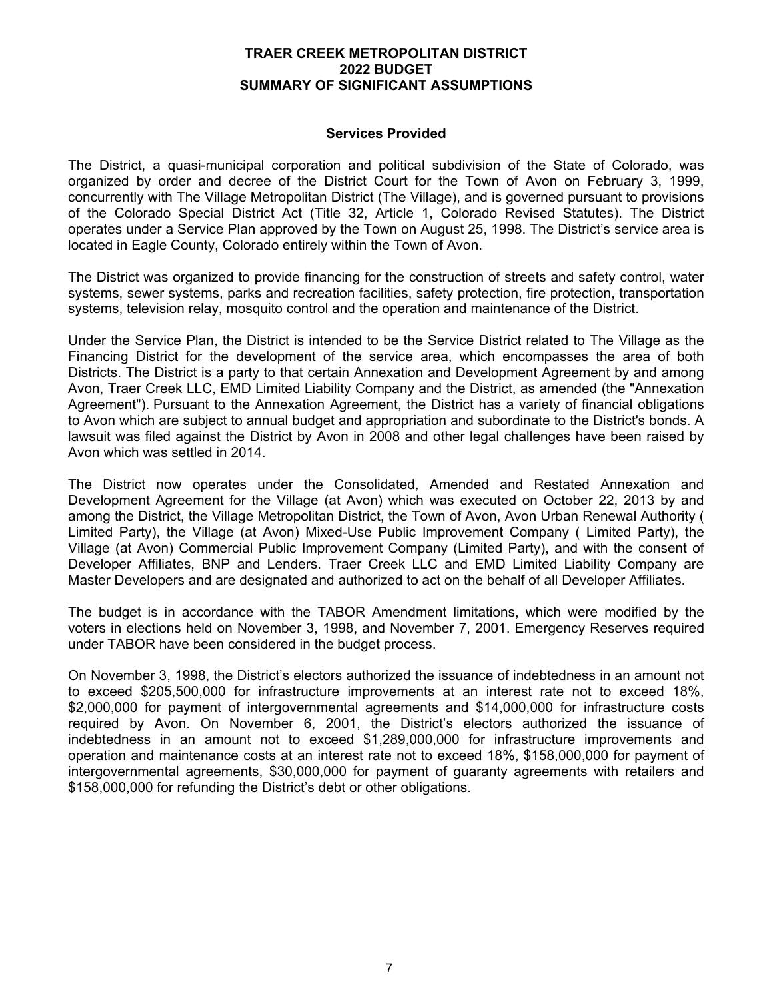## **TRAER CREEK METROPOLITAN DISTRICT 2022 BUDGET SUMMARY OF SIGNIFICANT ASSUMPTIONS**

## **Services Provided**

The District, a quasi-municipal corporation and political subdivision of the State of Colorado, was organized by order and decree of the District Court for the Town of Avon on February 3, 1999, concurrently with The Village Metropolitan District (The Village), and is governed pursuant to provisions of the Colorado Special District Act (Title 32, Article 1, Colorado Revised Statutes). The District operates under a Service Plan approved by the Town on August 25, 1998. The District's service area is located in Eagle County, Colorado entirely within the Town of Avon.

The District was organized to provide financing for the construction of streets and safety control, water systems, sewer systems, parks and recreation facilities, safety protection, fire protection, transportation systems, television relay, mosquito control and the operation and maintenance of the District.

Under the Service Plan, the District is intended to be the Service District related to The Village as the Financing District for the development of the service area, which encompasses the area of both Districts. The District is a party to that certain Annexation and Development Agreement by and among Avon, Traer Creek LLC, EMD Limited Liability Company and the District, as amended (the "Annexation Agreement"). Pursuant to the Annexation Agreement, the District has a variety of financial obligations to Avon which are subject to annual budget and appropriation and subordinate to the District's bonds. A lawsuit was filed against the District by Avon in 2008 and other legal challenges have been raised by Avon which was settled in 2014.

The District now operates under the Consolidated, Amended and Restated Annexation and Development Agreement for the Village (at Avon) which was executed on October 22, 2013 by and among the District, the Village Metropolitan District, the Town of Avon, Avon Urban Renewal Authority ( Limited Party), the Village (at Avon) Mixed-Use Public Improvement Company ( Limited Party), the Village (at Avon) Commercial Public Improvement Company (Limited Party), and with the consent of Developer Affiliates, BNP and Lenders. Traer Creek LLC and EMD Limited Liability Company are Master Developers and are designated and authorized to act on the behalf of all Developer Affiliates.

The budget is in accordance with the TABOR Amendment limitations, which were modified by the voters in elections held on November 3, 1998, and November 7, 2001. Emergency Reserves required under TABOR have been considered in the budget process.

On November 3, 1998, the District's electors authorized the issuance of indebtedness in an amount not to exceed \$205,500,000 for infrastructure improvements at an interest rate not to exceed 18%, \$2,000,000 for payment of intergovernmental agreements and \$14,000,000 for infrastructure costs required by Avon. On November 6, 2001, the District's electors authorized the issuance of indebtedness in an amount not to exceed \$1,289,000,000 for infrastructure improvements and operation and maintenance costs at an interest rate not to exceed 18%, \$158,000,000 for payment of intergovernmental agreements, \$30,000,000 for payment of guaranty agreements with retailers and \$158,000,000 for refunding the District's debt or other obligations.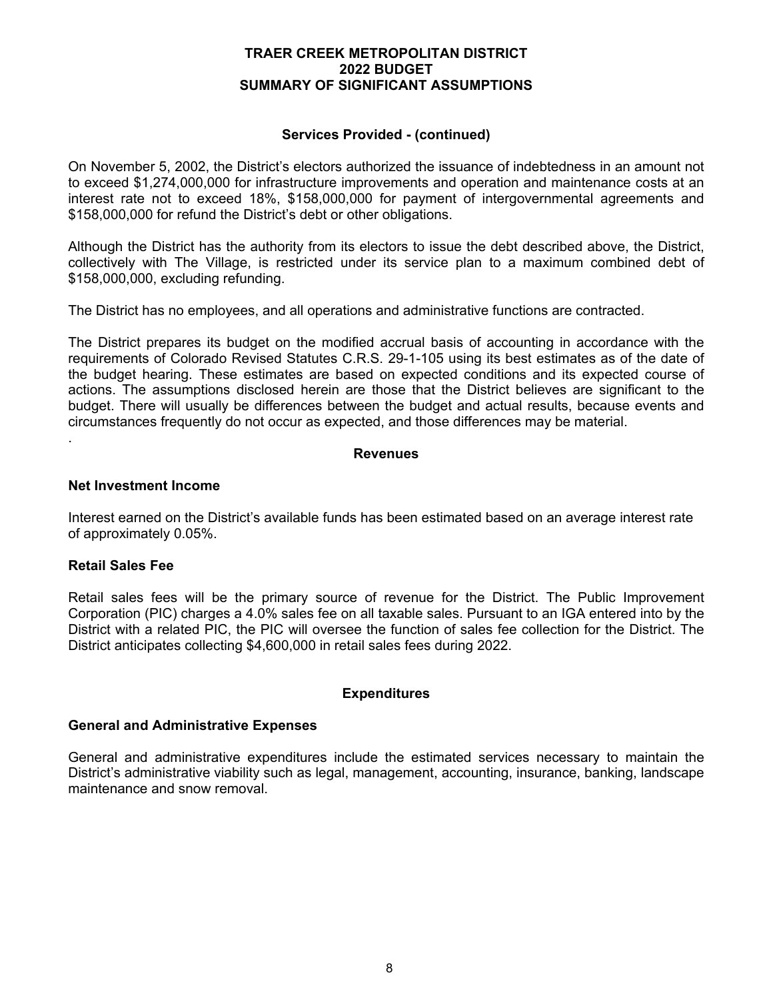## **TRAER CREEK METROPOLITAN DISTRICT 2022 BUDGET SUMMARY OF SIGNIFICANT ASSUMPTIONS**

## **Services Provided - (continued)**

On November 5, 2002, the District's electors authorized the issuance of indebtedness in an amount not to exceed \$1,274,000,000 for infrastructure improvements and operation and maintenance costs at an interest rate not to exceed 18%, \$158,000,000 for payment of intergovernmental agreements and \$158,000,000 for refund the District's debt or other obligations.

Although the District has the authority from its electors to issue the debt described above, the District, collectively with The Village, is restricted under its service plan to a maximum combined debt of \$158,000,000, excluding refunding.

The District has no employees, and all operations and administrative functions are contracted.

The District prepares its budget on the modified accrual basis of accounting in accordance with the requirements of Colorado Revised Statutes C.R.S. 29-1-105 using its best estimates as of the date of the budget hearing. These estimates are based on expected conditions and its expected course of actions. The assumptions disclosed herein are those that the District believes are significant to the budget. There will usually be differences between the budget and actual results, because events and circumstances frequently do not occur as expected, and those differences may be material.

#### **Revenues**

#### **Net Investment Income**

Interest earned on the District's available funds has been estimated based on an average interest rate of approximately 0.05%.

## **Retail Sales Fee**

.

Retail sales fees will be the primary source of revenue for the District. The Public Improvement Corporation (PIC) charges a 4.0% sales fee on all taxable sales. Pursuant to an IGA entered into by the District with a related PIC, the PIC will oversee the function of sales fee collection for the District. The District anticipates collecting \$4,600,000 in retail sales fees during 2022.

## **Expenditures**

## **General and Administrative Expenses**

General and administrative expenditures include the estimated services necessary to maintain the District's administrative viability such as legal, management, accounting, insurance, banking, landscape maintenance and snow removal.